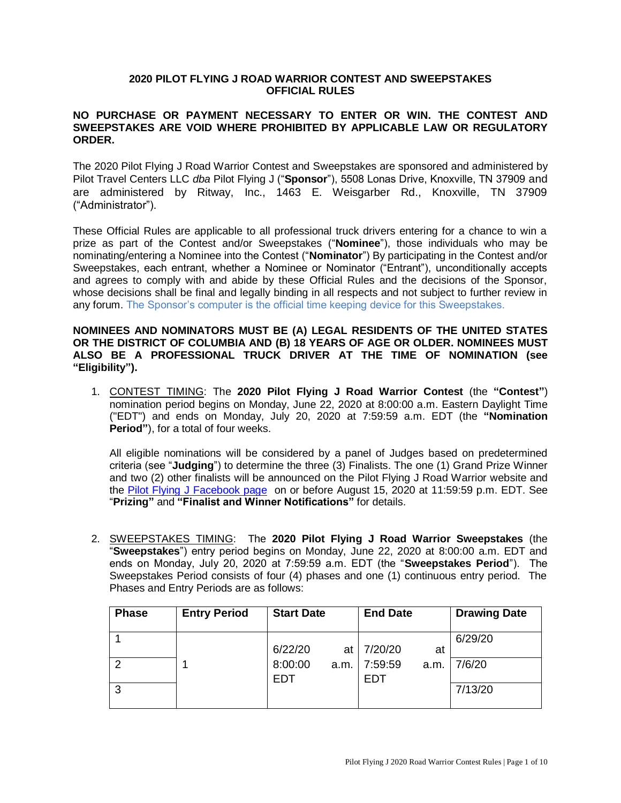## **2020 PILOT FLYING J ROAD WARRIOR CONTEST AND SWEEPSTAKES OFFICIAL RULES**

## **NO PURCHASE OR PAYMENT NECESSARY TO ENTER OR WIN. THE CONTEST AND SWEEPSTAKES ARE VOID WHERE PROHIBITED BY APPLICABLE LAW OR REGULATORY ORDER.**

The 2020 Pilot Flying J Road Warrior Contest and Sweepstakes are sponsored and administered by Pilot Travel Centers LLC *dba* Pilot Flying J ("**Sponsor**"), 5508 Lonas Drive, Knoxville, TN 37909 and are administered by Ritway, Inc., 1463 E. Weisgarber Rd., Knoxville, TN 37909 ("Administrator").

These Official Rules are applicable to all professional truck drivers entering for a chance to win a prize as part of the Contest and/or Sweepstakes ("**Nominee**"), those individuals who may be nominating/entering a Nominee into the Contest ("**Nominator**") By participating in the Contest and/or Sweepstakes, each entrant, whether a Nominee or Nominator ("Entrant"), unconditionally accepts and agrees to comply with and abide by these Official Rules and the decisions of the Sponsor, whose decisions shall be final and legally binding in all respects and not subject to further review in any forum. The Sponsor's computer is the official time keeping device for this Sweepstakes.

### **NOMINEES AND NOMINATORS MUST BE (A) LEGAL RESIDENTS OF THE UNITED STATES OR THE DISTRICT OF COLUMBIA AND (B) 18 YEARS OF AGE OR OLDER. NOMINEES MUST ALSO BE A PROFESSIONAL TRUCK DRIVER AT THE TIME OF NOMINATION (see "Eligibility").**

1. CONTEST TIMING: The **2020 Pilot Flying J Road Warrior Contest** (the **"Contest"**) nomination period begins on Monday, June 22, 2020 at 8:00:00 a.m. Eastern Daylight Time ("EDT") and ends on Monday, July 20, 2020 at 7:59:59 a.m. EDT (the **"Nomination Period"**), for a total of four weeks.

All eligible nominations will be considered by a panel of Judges based on predetermined criteria (see "**Judging**") to determine the three (3) Finalists. The one (1) Grand Prize Winner and two (2) other finalists will be announced on the Pilot Flying J Road Warrior website and the [Pilot Flying J Facebook page](https://www.facebook.com/pilottravelcenters/) on or before August 15, 2020 at 11:59:59 p.m. EDT. See "**Prizing"** and **"Finalist and Winner Notifications"** for details.

2. SWEEPSTAKES TIMING: The **2020 Pilot Flying J Road Warrior Sweepstakes** (the "**Sweepstakes**") entry period begins on Monday, June 22, 2020 at 8:00:00 a.m. EDT and ends on Monday, July 20, 2020 at 7:59:59 a.m. EDT (the "**Sweepstakes Period**"). The Sweepstakes Period consists of four (4) phases and one (1) continuous entry period. The Phases and Entry Periods are as follows:

| <b>Phase</b> | <b>Entry Period</b> | <b>Start Date</b> |      | <b>End Date</b>       |      | <b>Drawing Date</b> |
|--------------|---------------------|-------------------|------|-----------------------|------|---------------------|
|              |                     |                   |      |                       |      | 6/29/20             |
|              |                     | 6/22/20           | at l | 7/20/20               | at   |                     |
| 2            |                     | 8:00:00<br>EDT    | a.m. | 7:59:59<br><b>EDT</b> | a.m. | 7/6/20              |
| 3            |                     |                   |      |                       |      | 7/13/20             |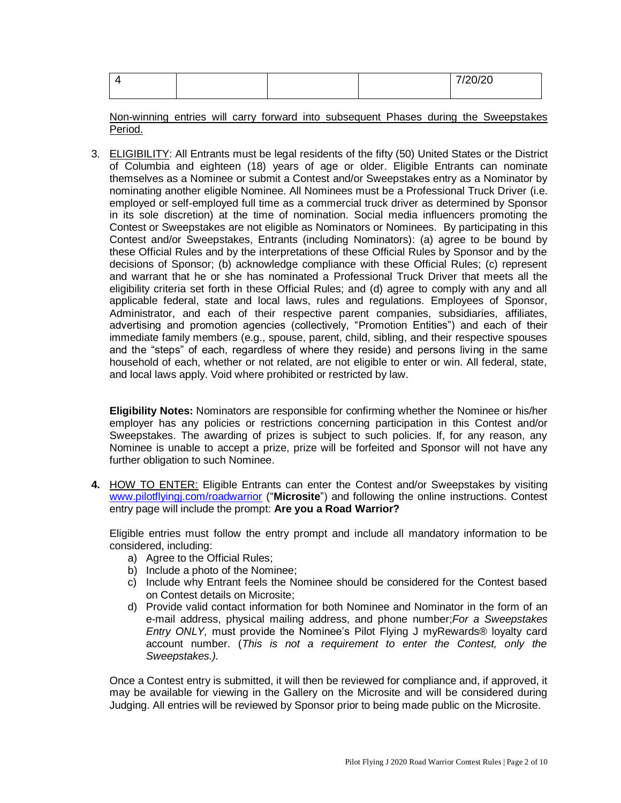|  |  | 7/20/20<br>120120 |
|--|--|-------------------|
|  |  |                   |

Non-winning entries will carry forward into subsequent Phases during the Sweepstakes Period.

3. ELIGIBILITY: All Entrants must be legal residents of the fifty (50) United States or the District of Columbia and eighteen (18) years of age or older. Eligible Entrants can nominate themselves as a Nominee or submit a Contest and/or Sweepstakes entry as a Nominator by nominating another eligible Nominee. All Nominees must be a Professional Truck Driver (i.e. employed or self-employed full time as a commercial truck driver as determined by Sponsor in its sole discretion) at the time of nomination. Social media influencers promoting the Contest or Sweepstakes are not eligible as Nominators or Nominees. By participating in this Contest and/or Sweepstakes, Entrants (including Nominators): (a) agree to be bound by these Official Rules and by the interpretations of these Official Rules by Sponsor and by the decisions of Sponsor; (b) acknowledge compliance with these Official Rules; (c) represent and warrant that he or she has nominated a Professional Truck Driver that meets all the eligibility criteria set forth in these Official Rules; and (d) agree to comply with any and all applicable federal, state and local laws, rules and regulations. Employees of Sponsor, Administrator, and each of their respective parent companies, subsidiaries, affiliates, advertising and promotion agencies (collectively, "Promotion Entities") and each of their immediate family members (e.g., spouse, parent, child, sibling, and their respective spouses and the "steps" of each, regardless of where they reside) and persons living in the same household of each, whether or not related, are not eligible to enter or win. All federal, state, and local laws apply. Void where prohibited or restricted by law.

**Eligibility Notes:** Nominators are responsible for confirming whether the Nominee or his/her employer has any policies or restrictions concerning participation in this Contest and/or Sweepstakes. The awarding of prizes is subject to such policies. If, for any reason, any Nominee is unable to accept a prize, prize will be forfeited and Sponsor will not have any further obligation to such Nominee.

**4.** HOW TO ENTER: Eligible Entrants can enter the Contest and/or Sweepstakes by visiting [www.pilotflyingj.com/roadwarrior](http://www.pilotflyingj.com/roadwarrior) ("**Microsite**") and following the online instructions. Contest entry page will include the prompt: **Are you a Road Warrior?**

Eligible entries must follow the entry prompt and include all mandatory information to be considered, including:

- a) Agree to the Official Rules;
- b) Include a photo of the Nominee;
- c) Include why Entrant feels the Nominee should be considered for the Contest based on Contest details on Microsite;
- d) Provide valid contact information for both Nominee and Nominator in the form of an e-mail address, physical mailing address, and phone number;*For a Sweepstakes Entry ONLY,* must provide the Nominee's Pilot Flying J myRewards® loyalty card account number. (*This is not a requirement to enter the Contest, only the Sweepstakes.).*

Once a Contest entry is submitted, it will then be reviewed for compliance and, if approved, it may be available for viewing in the Gallery on the Microsite and will be considered during Judging. All entries will be reviewed by Sponsor prior to being made public on the Microsite.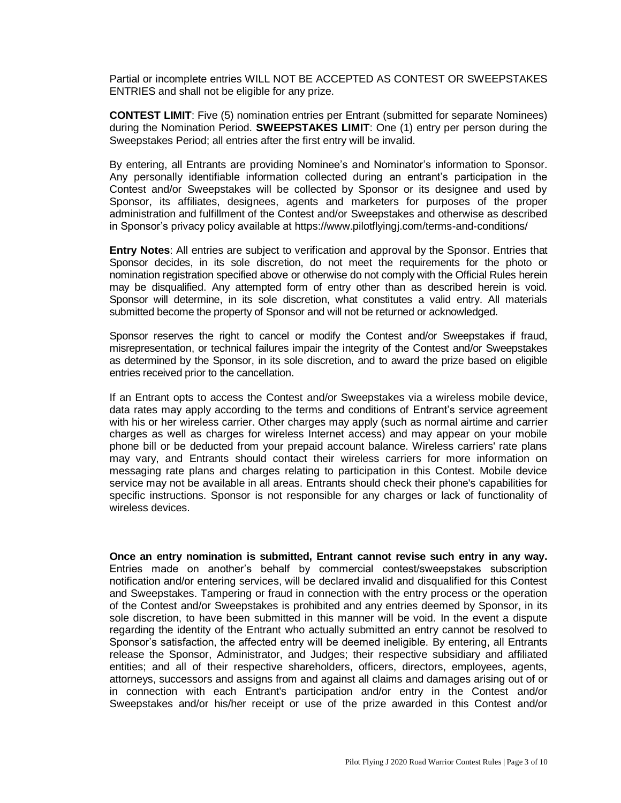Partial or incomplete entries WILL NOT BE ACCEPTED AS CONTEST OR SWEEPSTAKES ENTRIES and shall not be eligible for any prize.

**CONTEST LIMIT**: Five (5) nomination entries per Entrant (submitted for separate Nominees) during the Nomination Period. **SWEEPSTAKES LIMIT**: One (1) entry per person during the Sweepstakes Period; all entries after the first entry will be invalid.

By entering, all Entrants are providing Nominee's and Nominator's information to Sponsor. Any personally identifiable information collected during an entrant's participation in the Contest and/or Sweepstakes will be collected by Sponsor or its designee and used by Sponsor, its affiliates, designees, agents and marketers for purposes of the proper administration and fulfillment of the Contest and/or Sweepstakes and otherwise as described in Sponsor's privacy policy available at https://www.pilotflyingj.com/terms-and-conditions/

**Entry Notes**: All entries are subject to verification and approval by the Sponsor. Entries that Sponsor decides, in its sole discretion, do not meet the requirements for the photo or nomination registration specified above or otherwise do not comply with the Official Rules herein may be disqualified. Any attempted form of entry other than as described herein is void. Sponsor will determine, in its sole discretion, what constitutes a valid entry. All materials submitted become the property of Sponsor and will not be returned or acknowledged.

Sponsor reserves the right to cancel or modify the Contest and/or Sweepstakes if fraud, misrepresentation, or technical failures impair the integrity of the Contest and/or Sweepstakes as determined by the Sponsor, in its sole discretion, and to award the prize based on eligible entries received prior to the cancellation.

If an Entrant opts to access the Contest and/or Sweepstakes via a wireless mobile device, data rates may apply according to the terms and conditions of Entrant's service agreement with his or her wireless carrier. Other charges may apply (such as normal airtime and carrier charges as well as charges for wireless Internet access) and may appear on your mobile phone bill or be deducted from your prepaid account balance. Wireless carriers' rate plans may vary, and Entrants should contact their wireless carriers for more information on messaging rate plans and charges relating to participation in this Contest. Mobile device service may not be available in all areas. Entrants should check their phone's capabilities for specific instructions. Sponsor is not responsible for any charges or lack of functionality of wireless devices.

**Once an entry nomination is submitted, Entrant cannot revise such entry in any way.** Entries made on another's behalf by commercial contest/sweepstakes subscription notification and/or entering services, will be declared invalid and disqualified for this Contest and Sweepstakes. Tampering or fraud in connection with the entry process or the operation of the Contest and/or Sweepstakes is prohibited and any entries deemed by Sponsor, in its sole discretion, to have been submitted in this manner will be void. In the event a dispute regarding the identity of the Entrant who actually submitted an entry cannot be resolved to Sponsor's satisfaction, the affected entry will be deemed ineligible. By entering, all Entrants release the Sponsor, Administrator, and Judges; their respective subsidiary and affiliated entities; and all of their respective shareholders, officers, directors, employees, agents, attorneys, successors and assigns from and against all claims and damages arising out of or in connection with each Entrant's participation and/or entry in the Contest and/or Sweepstakes and/or his/her receipt or use of the prize awarded in this Contest and/or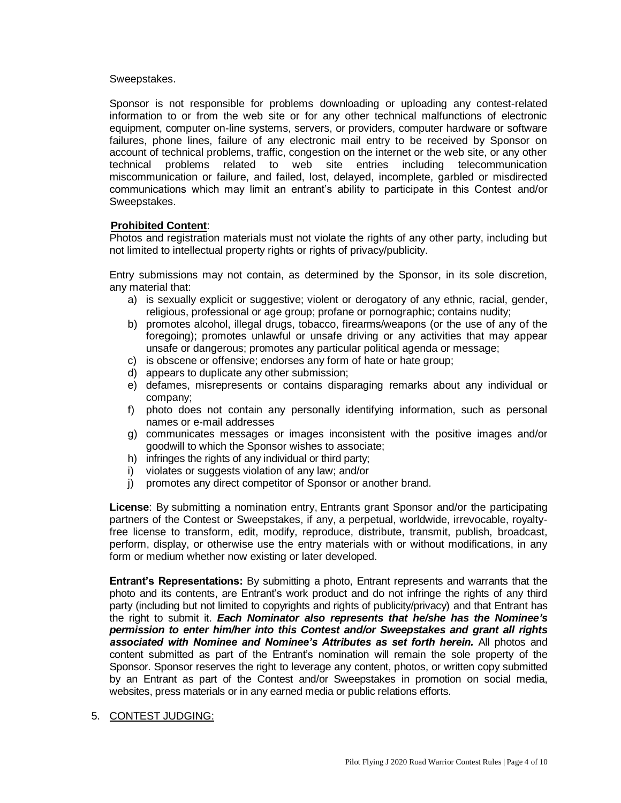#### Sweepstakes.

Sponsor is not responsible for problems downloading or uploading any contest-related information to or from the web site or for any other technical malfunctions of electronic equipment, computer on-line systems, servers, or providers, computer hardware or software failures, phone lines, failure of any electronic mail entry to be received by Sponsor on account of technical problems, traffic, congestion on the internet or the web site, or any other technical problems related to web site entries including telecommunication miscommunication or failure, and failed, lost, delayed, incomplete, garbled or misdirected communications which may limit an entrant's ability to participate in this Contest and/or Sweepstakes.

## **Prohibited Content**:

Photos and registration materials must not violate the rights of any other party, including but not limited to intellectual property rights or rights of privacy/publicity.

Entry submissions may not contain, as determined by the Sponsor, in its sole discretion, any material that:

- a) is sexually explicit or suggestive; violent or derogatory of any ethnic, racial, gender, religious, professional or age group; profane or pornographic; contains nudity;
- b) promotes alcohol, illegal drugs, tobacco, firearms/weapons (or the use of any of the foregoing); promotes unlawful or unsafe driving or any activities that may appear unsafe or dangerous; promotes any particular political agenda or message;
- c) is obscene or offensive; endorses any form of hate or hate group;
- d) appears to duplicate any other submission;
- e) defames, misrepresents or contains disparaging remarks about any individual or company;
- f) photo does not contain any personally identifying information, such as personal names or e-mail addresses
- g) communicates messages or images inconsistent with the positive images and/or goodwill to which the Sponsor wishes to associate;
- h) infringes the rights of any individual or third party;
- i) violates or suggests violation of any law; and/or
- j) promotes any direct competitor of Sponsor or another brand.

**License**: By submitting a nomination entry, Entrants grant Sponsor and/or the participating partners of the Contest or Sweepstakes, if any, a perpetual, worldwide, irrevocable, royaltyfree license to transform, edit, modify, reproduce, distribute, transmit, publish, broadcast, perform, display, or otherwise use the entry materials with or without modifications, in any form or medium whether now existing or later developed.

**Entrant's Representations:** By submitting a photo, Entrant represents and warrants that the photo and its contents, are Entrant's work product and do not infringe the rights of any third party (including but not limited to copyrights and rights of publicity/privacy) and that Entrant has the right to submit it. *Each Nominator also represents that he/she has the Nominee's permission to enter him/her into this Contest and/or Sweepstakes and grant all rights associated with Nominee and Nominee's Attributes as set forth herein.* All photos and content submitted as part of the Entrant's nomination will remain the sole property of the Sponsor. Sponsor reserves the right to leverage any content, photos, or written copy submitted by an Entrant as part of the Contest and/or Sweepstakes in promotion on social media, websites, press materials or in any earned media or public relations efforts.

5. CONTEST JUDGING: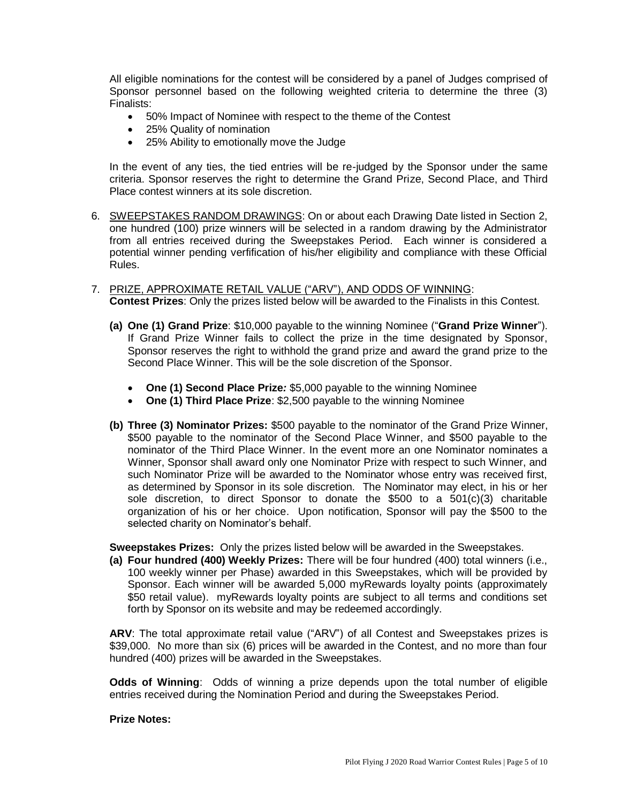All eligible nominations for the contest will be considered by a panel of Judges comprised of Sponsor personnel based on the following weighted criteria to determine the three (3) Finalists:

- 50% Impact of Nominee with respect to the theme of the Contest
- 25% Quality of nomination
- 25% Ability to emotionally move the Judge

In the event of any ties, the tied entries will be re-judged by the Sponsor under the same criteria. Sponsor reserves the right to determine the Grand Prize, Second Place, and Third Place contest winners at its sole discretion.

- 6. SWEEPSTAKES RANDOM DRAWINGS: On or about each Drawing Date listed in Section 2, one hundred (100) prize winners will be selected in a random drawing by the Administrator from all entries received during the Sweepstakes Period. Each winner is considered a potential winner pending verfification of his/her eligibility and compliance with these Official Rules.
- 7. PRIZE, APPROXIMATE RETAIL VALUE ("ARV"), AND ODDS OF WINNING: **Contest Prizes**: Only the prizes listed below will be awarded to the Finalists in this Contest.
	- **(a) One (1) Grand Prize**: \$10,000 payable to the winning Nominee ("**Grand Prize Winner**"). If Grand Prize Winner fails to collect the prize in the time designated by Sponsor, Sponsor reserves the right to withhold the grand prize and award the grand prize to the Second Place Winner. This will be the sole discretion of the Sponsor.
		- **One (1) Second Place Prize***:* \$5,000 payable to the winning Nominee
		- **One (1) Third Place Prize**: \$2,500 payable to the winning Nominee
	- **(b) Three (3) Nominator Prizes:** \$500 payable to the nominator of the Grand Prize Winner, \$500 payable to the nominator of the Second Place Winner, and \$500 payable to the nominator of the Third Place Winner. In the event more an one Nominator nominates a Winner, Sponsor shall award only one Nominator Prize with respect to such Winner, and such Nominator Prize will be awarded to the Nominator whose entry was received first, as determined by Sponsor in its sole discretion. The Nominator may elect, in his or her sole discretion, to direct Sponsor to donate the \$500 to a  $501(c)(3)$  charitable organization of his or her choice. Upon notification, Sponsor will pay the \$500 to the selected charity on Nominator's behalf.

**Sweepstakes Prizes:** Only the prizes listed below will be awarded in the Sweepstakes.

**(a) Four hundred (400) Weekly Prizes:** There will be four hundred (400) total winners (i.e., 100 weekly winner per Phase) awarded in this Sweepstakes, which will be provided by Sponsor. Each winner will be awarded 5,000 myRewards loyalty points (approximately \$50 retail value). myRewards loyalty points are subject to all terms and conditions set forth by Sponsor on its website and may be redeemed accordingly.

**ARV**: The total approximate retail value ("ARV") of all Contest and Sweepstakes prizes is \$39,000. No more than six (6) prices will be awarded in the Contest, and no more than four hundred (400) prizes will be awarded in the Sweepstakes.

**Odds of Winning**: Odds of winning a prize depends upon the total number of eligible entries received during the Nomination Period and during the Sweepstakes Period.

#### **Prize Notes:**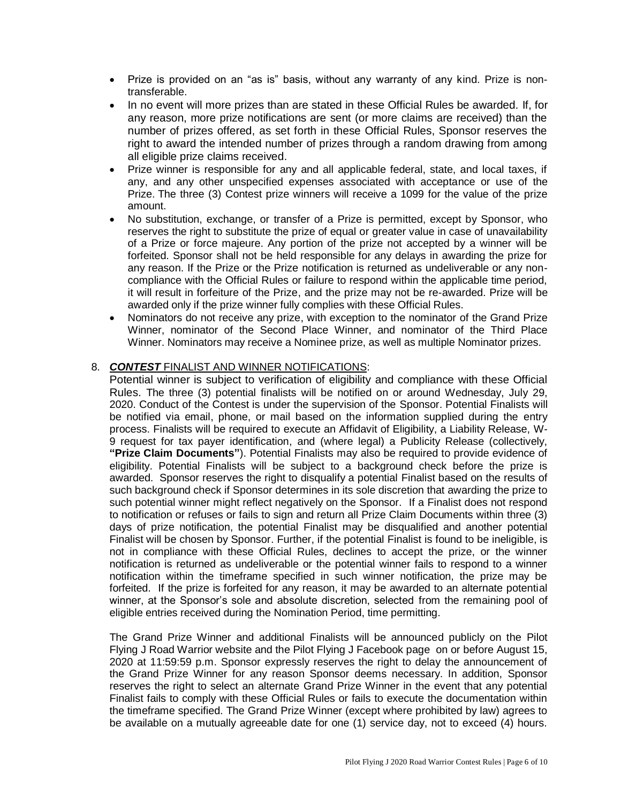- Prize is provided on an "as is" basis, without any warranty of any kind. Prize is nontransferable.
- In no event will more prizes than are stated in these Official Rules be awarded. If, for any reason, more prize notifications are sent (or more claims are received) than the number of prizes offered, as set forth in these Official Rules, Sponsor reserves the right to award the intended number of prizes through a random drawing from among all eligible prize claims received.
- Prize winner is responsible for any and all applicable federal, state, and local taxes, if any, and any other unspecified expenses associated with acceptance or use of the Prize. The three (3) Contest prize winners will receive a 1099 for the value of the prize amount.
- No substitution, exchange, or transfer of a Prize is permitted, except by Sponsor, who reserves the right to substitute the prize of equal or greater value in case of unavailability of a Prize or force majeure. Any portion of the prize not accepted by a winner will be forfeited. Sponsor shall not be held responsible for any delays in awarding the prize for any reason. If the Prize or the Prize notification is returned as undeliverable or any noncompliance with the Official Rules or failure to respond within the applicable time period, it will result in forfeiture of the Prize, and the prize may not be re-awarded. Prize will be awarded only if the prize winner fully complies with these Official Rules.
- Nominators do not receive any prize, with exception to the nominator of the Grand Prize Winner, nominator of the Second Place Winner, and nominator of the Third Place Winner. Nominators may receive a Nominee prize, as well as multiple Nominator prizes.

# 8. *CONTEST* FINALIST AND WINNER NOTIFICATIONS:

Potential winner is subject to verification of eligibility and compliance with these Official Rules. The three (3) potential finalists will be notified on or around Wednesday, July 29, 2020. Conduct of the Contest is under the supervision of the Sponsor. Potential Finalists will be notified via email, phone, or mail based on the information supplied during the entry process. Finalists will be required to execute an Affidavit of Eligibility, a Liability Release, W-9 request for tax payer identification, and (where legal) a Publicity Release (collectively, **"Prize Claim Documents"**). Potential Finalists may also be required to provide evidence of eligibility. Potential Finalists will be subject to a background check before the prize is awarded. Sponsor reserves the right to disqualify a potential Finalist based on the results of such background check if Sponsor determines in its sole discretion that awarding the prize to such potential winner might reflect negatively on the Sponsor. If a Finalist does not respond to notification or refuses or fails to sign and return all Prize Claim Documents within three (3) days of prize notification, the potential Finalist may be disqualified and another potential Finalist will be chosen by Sponsor. Further, if the potential Finalist is found to be ineligible, is not in compliance with these Official Rules, declines to accept the prize, or the winner notification is returned as undeliverable or the potential winner fails to respond to a winner notification within the timeframe specified in such winner notification, the prize may be forfeited. If the prize is forfeited for any reason, it may be awarded to an alternate potential winner, at the Sponsor's sole and absolute discretion, selected from the remaining pool of eligible entries received during the Nomination Period, time permitting.

The Grand Prize Winner and additional Finalists will be announced publicly on the Pilot Flying J Road Warrior website and the Pilot Flying J Facebook page on or before August 15, 2020 at 11:59:59 p.m. Sponsor expressly reserves the right to delay the announcement of the Grand Prize Winner for any reason Sponsor deems necessary. In addition, Sponsor reserves the right to select an alternate Grand Prize Winner in the event that any potential Finalist fails to comply with these Official Rules or fails to execute the documentation within the timeframe specified. The Grand Prize Winner (except where prohibited by law) agrees to be available on a mutually agreeable date for one (1) service day, not to exceed (4) hours.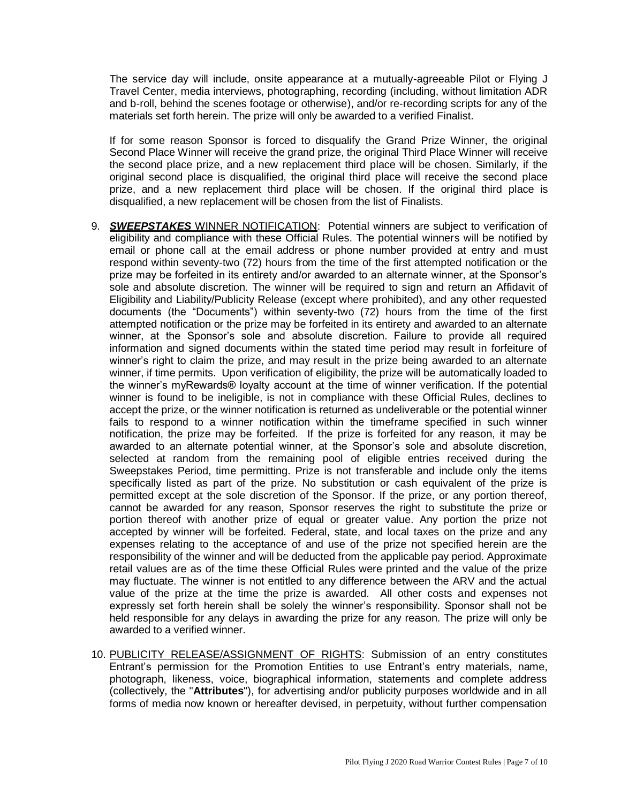The service day will include, onsite appearance at a mutually-agreeable Pilot or Flying J Travel Center, media interviews, photographing, recording (including, without limitation ADR and b-roll, behind the scenes footage or otherwise), and/or re-recording scripts for any of the materials set forth herein. The prize will only be awarded to a verified Finalist.

If for some reason Sponsor is forced to disqualify the Grand Prize Winner, the original Second Place Winner will receive the grand prize, the original Third Place Winner will receive the second place prize, and a new replacement third place will be chosen. Similarly, if the original second place is disqualified, the original third place will receive the second place prize, and a new replacement third place will be chosen. If the original third place is disqualified, a new replacement will be chosen from the list of Finalists.

- 9. *SWEEPSTAKES* WINNER NOTIFICATION: Potential winners are subject to verification of eligibility and compliance with these Official Rules. The potential winners will be notified by email or phone call at the email address or phone number provided at entry and must respond within seventy-two (72) hours from the time of the first attempted notification or the prize may be forfeited in its entirety and/or awarded to an alternate winner, at the Sponsor's sole and absolute discretion. The winner will be required to sign and return an Affidavit of Eligibility and Liability/Publicity Release (except where prohibited), and any other requested documents (the "Documents") within seventy-two (72) hours from the time of the first attempted notification or the prize may be forfeited in its entirety and awarded to an alternate winner, at the Sponsor's sole and absolute discretion. Failure to provide all required information and signed documents within the stated time period may result in forfeiture of winner's right to claim the prize, and may result in the prize being awarded to an alternate winner, if time permits. Upon verification of eligibility, the prize will be automatically loaded to the winner's myRewards® loyalty account at the time of winner verification. If the potential winner is found to be ineligible, is not in compliance with these Official Rules, declines to accept the prize, or the winner notification is returned as undeliverable or the potential winner fails to respond to a winner notification within the timeframe specified in such winner notification, the prize may be forfeited. If the prize is forfeited for any reason, it may be awarded to an alternate potential winner, at the Sponsor's sole and absolute discretion, selected at random from the remaining pool of eligible entries received during the Sweepstakes Period, time permitting. Prize is not transferable and include only the items specifically listed as part of the prize. No substitution or cash equivalent of the prize is permitted except at the sole discretion of the Sponsor. If the prize, or any portion thereof, cannot be awarded for any reason, Sponsor reserves the right to substitute the prize or portion thereof with another prize of equal or greater value. Any portion the prize not accepted by winner will be forfeited. Federal, state, and local taxes on the prize and any expenses relating to the acceptance of and use of the prize not specified herein are the responsibility of the winner and will be deducted from the applicable pay period. Approximate retail values are as of the time these Official Rules were printed and the value of the prize may fluctuate. The winner is not entitled to any difference between the ARV and the actual value of the prize at the time the prize is awarded. All other costs and expenses not expressly set forth herein shall be solely the winner's responsibility. Sponsor shall not be held responsible for any delays in awarding the prize for any reason. The prize will only be awarded to a verified winner.
- 10. PUBLICITY RELEASE/ASSIGNMENT OF RIGHTS: Submission of an entry constitutes Entrant's permission for the Promotion Entities to use Entrant's entry materials, name, photograph, likeness, voice, biographical information, statements and complete address (collectively, the "**Attributes**"), for advertising and/or publicity purposes worldwide and in all forms of media now known or hereafter devised, in perpetuity, without further compensation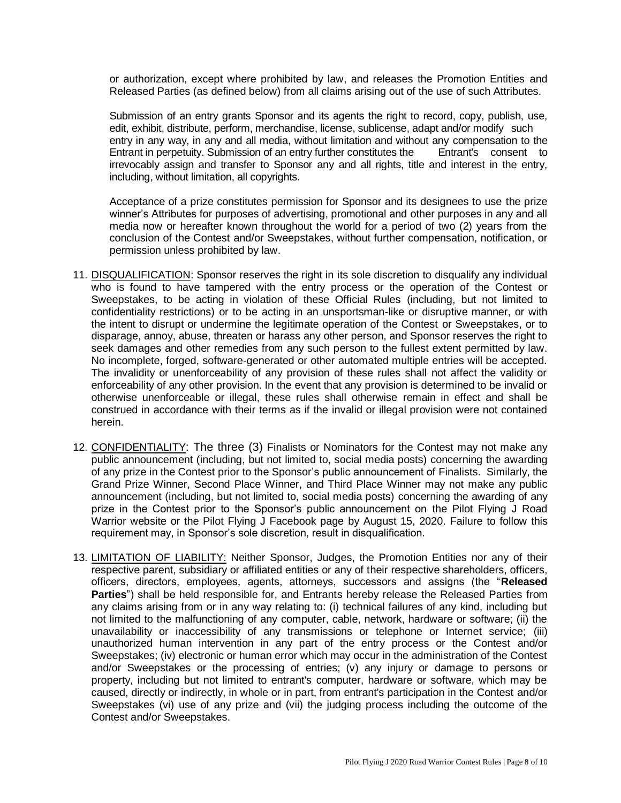or authorization, except where prohibited by law, and releases the Promotion Entities and Released Parties (as defined below) from all claims arising out of the use of such Attributes.

Submission of an entry grants Sponsor and its agents the right to record, copy, publish, use, edit, exhibit, distribute, perform, merchandise, license, sublicense, adapt and/or modify such entry in any way, in any and all media, without limitation and without any compensation to the Entrant in perpetuity. Submission of an entry further constitutes the Entrant's consent to irrevocably assign and transfer to Sponsor any and all rights, title and interest in the entry, including, without limitation, all copyrights.

Acceptance of a prize constitutes permission for Sponsor and its designees to use the prize winner's Attributes for purposes of advertising, promotional and other purposes in any and all media now or hereafter known throughout the world for a period of two (2) years from the conclusion of the Contest and/or Sweepstakes, without further compensation, notification, or permission unless prohibited by law.

- 11. DISQUALIFICATION: Sponsor reserves the right in its sole discretion to disqualify any individual who is found to have tampered with the entry process or the operation of the Contest or Sweepstakes, to be acting in violation of these Official Rules (including, but not limited to confidentiality restrictions) or to be acting in an unsportsman-like or disruptive manner, or with the intent to disrupt or undermine the legitimate operation of the Contest or Sweepstakes, or to disparage, annoy, abuse, threaten or harass any other person, and Sponsor reserves the right to seek damages and other remedies from any such person to the fullest extent permitted by law. No incomplete, forged, software-generated or other automated multiple entries will be accepted. The invalidity or unenforceability of any provision of these rules shall not affect the validity or enforceability of any other provision. In the event that any provision is determined to be invalid or otherwise unenforceable or illegal, these rules shall otherwise remain in effect and shall be construed in accordance with their terms as if the invalid or illegal provision were not contained herein.
- 12. CONFIDENTIALITY: The three (3) Finalists or Nominators for the Contest may not make any public announcement (including, but not limited to, social media posts) concerning the awarding of any prize in the Contest prior to the Sponsor's public announcement of Finalists. Similarly, the Grand Prize Winner, Second Place Winner, and Third Place Winner may not make any public announcement (including, but not limited to, social media posts) concerning the awarding of any prize in the Contest prior to the Sponsor's public announcement on the Pilot Flying J Road Warrior website or the Pilot Flying J Facebook page by August 15, 2020. Failure to follow this requirement may, in Sponsor's sole discretion, result in disqualification.
- 13. LIMITATION OF LIABILITY: Neither Sponsor, Judges, the Promotion Entities nor any of their respective parent, subsidiary or affiliated entities or any of their respective shareholders, officers, officers, directors, employees, agents, attorneys, successors and assigns (the "**Released Parties**") shall be held responsible for, and Entrants hereby release the Released Parties from any claims arising from or in any way relating to: (i) technical failures of any kind, including but not limited to the malfunctioning of any computer, cable, network, hardware or software; (ii) the unavailability or inaccessibility of any transmissions or telephone or Internet service; (iii) unauthorized human intervention in any part of the entry process or the Contest and/or Sweepstakes; (iv) electronic or human error which may occur in the administration of the Contest and/or Sweepstakes or the processing of entries; (v) any injury or damage to persons or property, including but not limited to entrant's computer, hardware or software, which may be caused, directly or indirectly, in whole or in part, from entrant's participation in the Contest and/or Sweepstakes (vi) use of any prize and (vii) the judging process including the outcome of the Contest and/or Sweepstakes.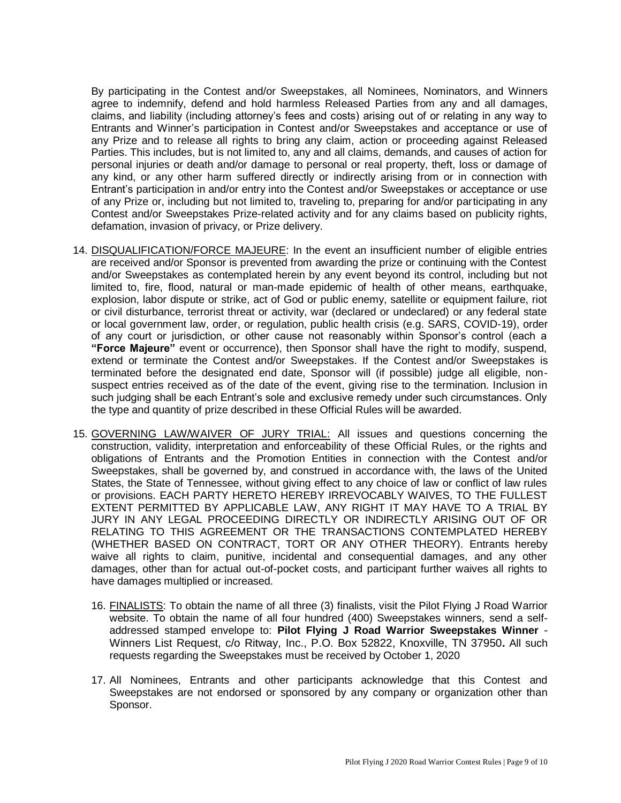By participating in the Contest and/or Sweepstakes, all Nominees, Nominators, and Winners agree to indemnify, defend and hold harmless Released Parties from any and all damages, claims, and liability (including attorney's fees and costs) arising out of or relating in any way to Entrants and Winner's participation in Contest and/or Sweepstakes and acceptance or use of any Prize and to release all rights to bring any claim, action or proceeding against Released Parties. This includes, but is not limited to, any and all claims, demands, and causes of action for personal injuries or death and/or damage to personal or real property, theft, loss or damage of any kind, or any other harm suffered directly or indirectly arising from or in connection with Entrant's participation in and/or entry into the Contest and/or Sweepstakes or acceptance or use of any Prize or, including but not limited to, traveling to, preparing for and/or participating in any Contest and/or Sweepstakes Prize-related activity and for any claims based on publicity rights, defamation, invasion of privacy, or Prize delivery.

- 14. DISQUALIFICATION/FORCE MAJEURE: In the event an insufficient number of eligible entries are received and/or Sponsor is prevented from awarding the prize or continuing with the Contest and/or Sweepstakes as contemplated herein by any event beyond its control, including but not limited to, fire, flood, natural or man-made epidemic of health of other means, earthquake, explosion, labor dispute or strike, act of God or public enemy, satellite or equipment failure, riot or civil disturbance, terrorist threat or activity, war (declared or undeclared) or any federal state or local government law, order, or regulation, public health crisis (e.g. SARS, COVID-19), order of any court or jurisdiction, or other cause not reasonably within Sponsor's control (each a **"Force Majeure"** event or occurrence), then Sponsor shall have the right to modify, suspend, extend or terminate the Contest and/or Sweepstakes. If the Contest and/or Sweepstakes is terminated before the designated end date, Sponsor will (if possible) judge all eligible, nonsuspect entries received as of the date of the event, giving rise to the termination. Inclusion in such judging shall be each Entrant's sole and exclusive remedy under such circumstances. Only the type and quantity of prize described in these Official Rules will be awarded.
- 15. GOVERNING LAW/WAIVER OF JURY TRIAL: All issues and questions concerning the construction, validity, interpretation and enforceability of these Official Rules, or the rights and obligations of Entrants and the Promotion Entities in connection with the Contest and/or Sweepstakes, shall be governed by, and construed in accordance with, the laws of the United States, the State of Tennessee, without giving effect to any choice of law or conflict of law rules or provisions. EACH PARTY HERETO HEREBY IRREVOCABLY WAIVES, TO THE FULLEST EXTENT PERMITTED BY APPLICABLE LAW, ANY RIGHT IT MAY HAVE TO A TRIAL BY JURY IN ANY LEGAL PROCEEDING DIRECTLY OR INDIRECTLY ARISING OUT OF OR RELATING TO THIS AGREEMENT OR THE TRANSACTIONS CONTEMPLATED HEREBY (WHETHER BASED ON CONTRACT, TORT OR ANY OTHER THEORY). Entrants hereby waive all rights to claim, punitive, incidental and consequential damages, and any other damages, other than for actual out-of-pocket costs, and participant further waives all rights to have damages multiplied or increased.
	- 16. FINALISTS: To obtain the name of all three (3) finalists, visit the Pilot Flying J Road Warrior website. To obtain the name of all four hundred (400) Sweepstakes winners, send a selfaddressed stamped envelope to: **Pilot Flying J Road Warrior Sweepstakes Winner** - Winners List Request, c/o Ritway, Inc., P.O. Box 52822, Knoxville, TN 37950**.** All such requests regarding the Sweepstakes must be received by October 1, 2020
	- 17. All Nominees, Entrants and other participants acknowledge that this Contest and Sweepstakes are not endorsed or sponsored by any company or organization other than Sponsor.